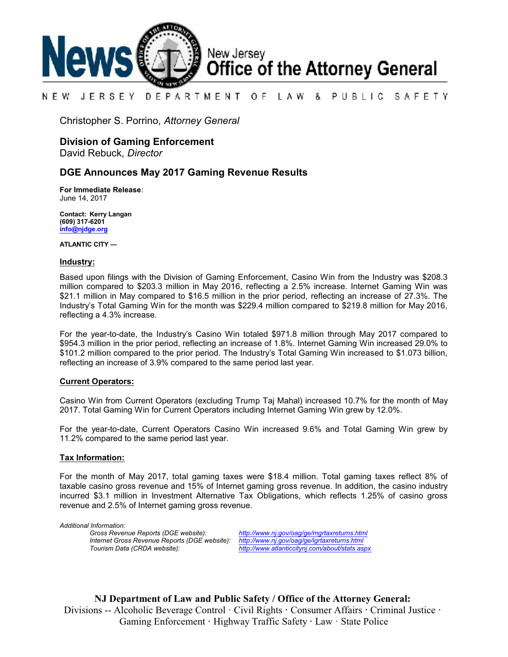

#### NEW JERSEY DEPARTMENT OF. LAW & PUBLIC SAFETY

Christopher S. Porrino, *Attorney General*

# **Division of Gaming Enforcement**

David Rebuck, *Director*

## **DGE Announces May 2017 Gaming Revenue Results**

**For Immediate Release**: June 14, 2017

**Contact: Kerry Langan (609) 317-6201 [info@njdge.org](file:///|//info@njdge.org)**

**ATLANTIC CITY —**

#### **Industry:**

Based upon filings with the Division of Gaming Enforcement, Casino Win from the Industry was \$208.3 million compared to \$203.3 million in May 2016, reflecting a 2.5% increase. Internet Gaming Win was \$21.1 million in May compared to \$16.5 million in the prior period, reflecting an increase of 27.3%. The Industry's Total Gaming Win for the month was \$229.4 million compared to \$219.8 million for May 2016, reflecting a 4.3% increase.

For the year-to-date, the Industry's Casino Win totaled \$971.8 million through May 2017 compared to \$954.3 million in the prior period, reflecting an increase of 1.8%. Internet Gaming Win increased 29.0% to \$101.2 million compared to the prior period. The Industry's Total Gaming Win increased to \$1.073 billion, reflecting an increase of 3.9% compared to the same period last year.

### **Current Operators:**

Casino Win from Current Operators (excluding Trump Taj Mahal) increased 10.7% for the month of May 2017. Total Gaming Win for Current Operators including Internet Gaming Win grew by 12.0%.

For the year-to-date, Current Operators Casino Win increased 9.6% and Total Gaming Win grew by 11.2% compared to the same period last year.

### **Tax Information:**

For the month of May 2017, total gaming taxes were \$18.4 million. Total gaming taxes reflect 8% of taxable casino gross revenue and 15% of Internet gaming gross revenue. In addition, the casino industry incurred \$3.1 million in Investment Alternative Tax Obligations, which reflects 1.25% of casino gross revenue and 2.5% of Internet gaming gross revenue.

*Additional Information: Internet Gross Revenue Reports (DGE website): <http://www.nj.gov/oag/ge/igrtaxreturns.html>*

*Gross Revenue Reports (DGE website): <http://www.nj.gov/oag/ge/mgrtaxreturns.html> Tourism Data (CRDA website): <http://www.atlanticcitynj.com/about/stats.aspx>*

**NJ Department of Law and Public Safety / Office of the Attorney General:** Divisions -- Alcoholic Beverage Control · Civil Rights **·** Consumer Affairs **·** Criminal Justice **·**  Gaming Enforcement **·** Highway Traffic Safety **·** Law · State Police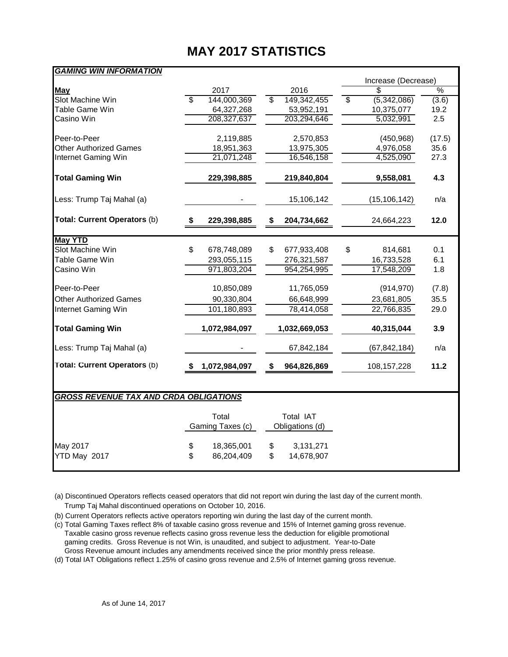# **MAY 2017 STATISTICS**

| GAMING WIN INFORMATION                        |    |                  |                         |                 |                         | Increase (Decrease) |               |
|-----------------------------------------------|----|------------------|-------------------------|-----------------|-------------------------|---------------------|---------------|
| <b>May</b>                                    |    | 2017             |                         | 2016            |                         |                     | $\frac{0}{6}$ |
| Slot Machine Win                              | s, | 144,000,369      | $\overline{\mathbb{S}}$ | 149,342,455     | $\overline{\mathbb{S}}$ | (5,342,086)         | (3.6)         |
| <b>Table Game Win</b>                         |    | 64,327,268       |                         | 53,952,191      |                         | 10,375,077          | 19.2          |
| Casino Win                                    |    | 208,327,637      |                         | 203,294,646     |                         | 5,032,991           | 2.5           |
|                                               |    |                  |                         |                 |                         |                     |               |
| Peer-to-Peer                                  |    | 2,119,885        |                         | 2,570,853       |                         | (450, 968)          | (17.5)        |
| <b>Other Authorized Games</b>                 |    | 18,951,363       |                         | 13,975,305      |                         | 4,976,058           | 35.6          |
| Internet Gaming Win                           |    | 21,071,248       |                         | 16,546,158      |                         | 4,525,090           | 27.3          |
| <b>Total Gaming Win</b>                       |    | 229,398,885      |                         | 219,840,804     |                         | 9,558,081           | 4.3           |
| Less: Trump Taj Mahal (a)                     |    |                  |                         | 15,106,142      |                         | (15, 106, 142)      | n/a           |
| Total: Current Operators (b)                  | S  | 229,398,885      | S                       | 204,734,662     |                         | 24,664,223          | 12.0          |
|                                               |    |                  |                         |                 |                         |                     |               |
| <b>May YTD</b>                                |    |                  |                         |                 |                         |                     |               |
| Slot Machine Win                              | \$ | 678,748,089      | \$                      | 677,933,408     | \$                      | 814,681             | 0.1           |
| <b>Table Game Win</b>                         |    | 293,055,115      |                         | 276,321,587     |                         | 16,733,528          | 6.1           |
| Casino Win                                    |    | 971,803,204      |                         | 954,254,995     |                         | 17,548,209          | 1.8           |
| Peer-to-Peer                                  |    | 10,850,089       |                         | 11,765,059      |                         | (914, 970)          | (7.8)         |
| <b>Other Authorized Games</b>                 |    | 90,330,804       |                         | 66,648,999      |                         | 23,681,805          | 35.5          |
| Internet Gaming Win                           |    | 101,180,893      |                         | 78,414,058      |                         | 22,766,835          | 29.0          |
| <b>Total Gaming Win</b>                       |    | 1,072,984,097    |                         | 1,032,669,053   |                         | 40,315,044          | 3.9           |
| Less: Trump Taj Mahal (a)                     |    |                  |                         | 67,842,184      |                         | (67, 842, 184)      | n/a           |
| Total: Current Operators (b)                  |    | 1,072,984,097    | S                       | 964,826,869     |                         | 108, 157, 228       | 11.2          |
|                                               |    |                  |                         |                 |                         |                     |               |
| <b>GROSS REVENUE TAX AND CRDA OBLIGATIONS</b> |    |                  |                         |                 |                         |                     |               |
|                                               |    | Total            |                         | Total IAT       |                         |                     |               |
|                                               |    | Gaming Taxes (c) |                         | Obligations (d) |                         |                     |               |
| May 2017                                      | \$ | 18,365,001       | \$                      | 3,131,271       |                         |                     |               |
| YTD May 2017                                  | \$ | 86,204,409       | \$                      | 14,678,907      |                         |                     |               |
|                                               |    |                  |                         |                 |                         |                     |               |

(a) Discontinued Operators reflects ceased operators that did not report win during the last day of the current month. Trump Taj Mahal discontinued operations on October 10, 2016.

(b) Current Operators reflects active operators reporting win during the last day of the current month.

(c) Total Gaming Taxes reflect 8% of taxable casino gross revenue and 15% of Internet gaming gross revenue. Taxable casino gross revenue reflects casino gross revenue less the deduction for eligible promotional gaming credits. Gross Revenue is not Win, is unaudited, and subject to adjustment. Year-to-Date Gross Revenue amount includes any amendments received since the prior monthly press release.

(d) Total IAT Obligations reflect 1.25% of casino gross revenue and 2.5% of Internet gaming gross revenue.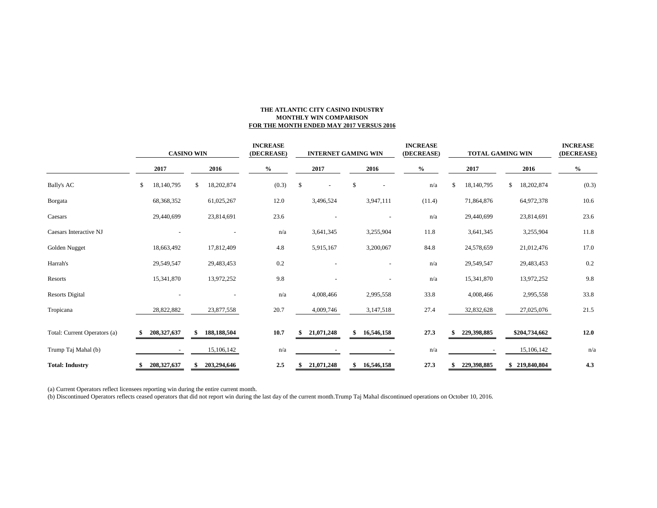#### **THE ATLANTIC CITY CASINO INDUSTRY MONTHLY WIN COMPARISON FOR THE MONTH ENDED MAY 2017 VERSUS 2016**

|                              | <b>CASINO WIN</b> |               |    | <b>INCREASE</b><br>(DECREASE) |      | <b>INTERNET GAMING WIN</b> |               |                          |    |                          | <b>INCREASE</b><br>(DECREASE) | <b>TOTAL GAMING WIN</b> |    |             |    | <b>INCREASE</b><br>(DECREASE) |       |
|------------------------------|-------------------|---------------|----|-------------------------------|------|----------------------------|---------------|--------------------------|----|--------------------------|-------------------------------|-------------------------|----|-------------|----|-------------------------------|-------|
|                              |                   | 2017          |    | 2016                          | $\%$ |                            |               | 2017                     |    | 2016                     |                               | $\%$                    |    | 2017        |    | 2016                          | $\%$  |
| <b>Bally's AC</b>            | \$                | 18,140,795    | \$ | 18,202,874                    |      | (0.3)                      | $\mathcal{S}$ | $\overline{\phantom{a}}$ | \$ |                          |                               | n/a                     | \$ | 18,140,795  | \$ | 18,202,874                    | (0.3) |
| Borgata                      |                   | 68,368,352    |    | 61,025,267                    |      | 12.0                       |               | 3,496,524                |    | 3,947,111                |                               | (11.4)                  |    | 71,864,876  |    | 64,972,378                    | 10.6  |
| Caesars                      |                   | 29,440,699    |    | 23,814,691                    |      | 23.6                       |               |                          |    |                          |                               | n/a                     |    | 29,440,699  |    | 23,814,691                    | 23.6  |
| Caesars Interactive NJ       |                   |               |    |                               |      | n/a                        |               | 3,641,345                |    | 3,255,904                |                               | 11.8                    |    | 3,641,345   |    | 3,255,904                     | 11.8  |
| Golden Nugget                |                   | 18,663,492    |    | 17,812,409                    |      | 4.8                        |               | 5,915,167                |    | 3,200,067                |                               | 84.8                    |    | 24,578,659  |    | 21,012,476                    | 17.0  |
| Harrah's                     |                   | 29,549,547    |    | 29,483,453                    |      | 0.2                        |               |                          |    | $\overline{\phantom{a}}$ |                               | n/a                     |    | 29,549,547  |    | 29,483,453                    | 0.2   |
| Resorts                      |                   | 15,341,870    |    | 13,972,252                    |      | 9.8                        |               |                          |    | $\overline{\phantom{a}}$ |                               | n/a                     |    | 15,341,870  |    | 13,972,252                    | 9.8   |
| <b>Resorts Digital</b>       |                   |               |    |                               |      | n/a                        |               | 4,008,466                |    | 2,995,558                |                               | 33.8                    |    | 4,008,466   |    | 2,995,558                     | 33.8  |
| Tropicana                    |                   | 28,822,882    |    | 23,877,558                    |      | 20.7                       |               | 4,009,746                |    | 3,147,518                |                               | 27.4                    |    | 32,832,628  |    | 27,025,076                    | 21.5  |
| Total: Current Operators (a) |                   | 208, 327, 637 | \$ | 188,188,504                   |      | 10.7                       |               | 21,071,248               | \$ | 16,546,158               |                               | 27.3                    |    | 229,398,885 |    | \$204,734,662                 | 12.0  |
| Trump Taj Mahal (b)          |                   |               |    | 15,106,142                    |      | n/a                        |               |                          |    |                          |                               | n/a                     |    |             |    | 15,106,142                    | n/a   |
| <b>Total: Industry</b>       |                   | 208, 327, 637 |    | 203,294,646                   |      | 2.5                        |               | 21,071,248               | \$ | 16,546,158               |                               | 27.3                    |    | 229,398,885 |    | \$219,840,804                 | 4.3   |

(a) Current Operators reflect licensees reporting win during the entire current month.

(b) Discontinued Operators reflects ceased operators that did not report win during the last day of the current month.Trump Taj Mahal discontinued operations on October 10, 2016.